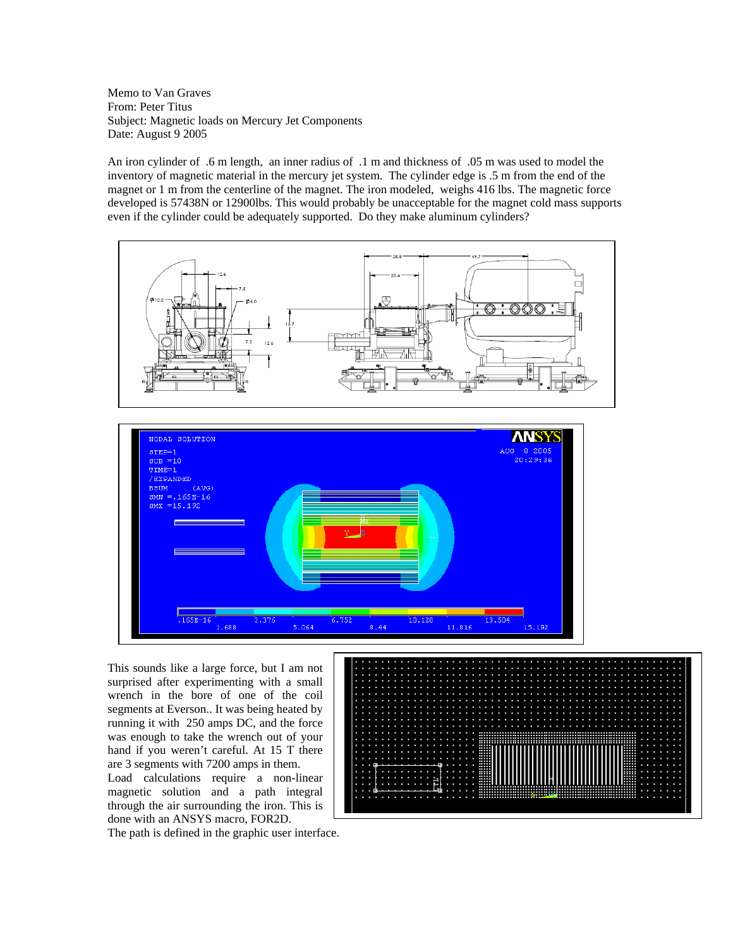Memo to Van Graves From: Peter Titus Subject: Magnetic loads on Mercury Jet Components Date: August 9 2005

An iron cylinder of .6 m length, an inner radius of .1 m and thickness of .05 m was used to model the inventory of magnetic material in the mercury jet system. The cylinder edge is .5 m from the end of the magnet or 1 m from the centerline of the magnet. The iron modeled, weighs 416 lbs. The magnetic force developed is 57438N or 12900lbs. This would probably be unacceptable for the magnet cold mass supports even if the cylinder could be adequately supported. Do they make aluminum cylinders?



This sounds like a large force, but I am not surprised after experimenting with a small wrench in the bore of one of the coil segments at Everson.. It was being heated by running it with 250 amps DC, and the force was enough to take the wrench out of your hand if you weren't careful. At 15 T there are 3 segments with 7200 amps in them. Load calculations require a non-linear

magnetic solution and a path integral through the air surrounding the iron. This is done with an ANSYS macro, FOR2D.

The path is defined in the graphic user interface.

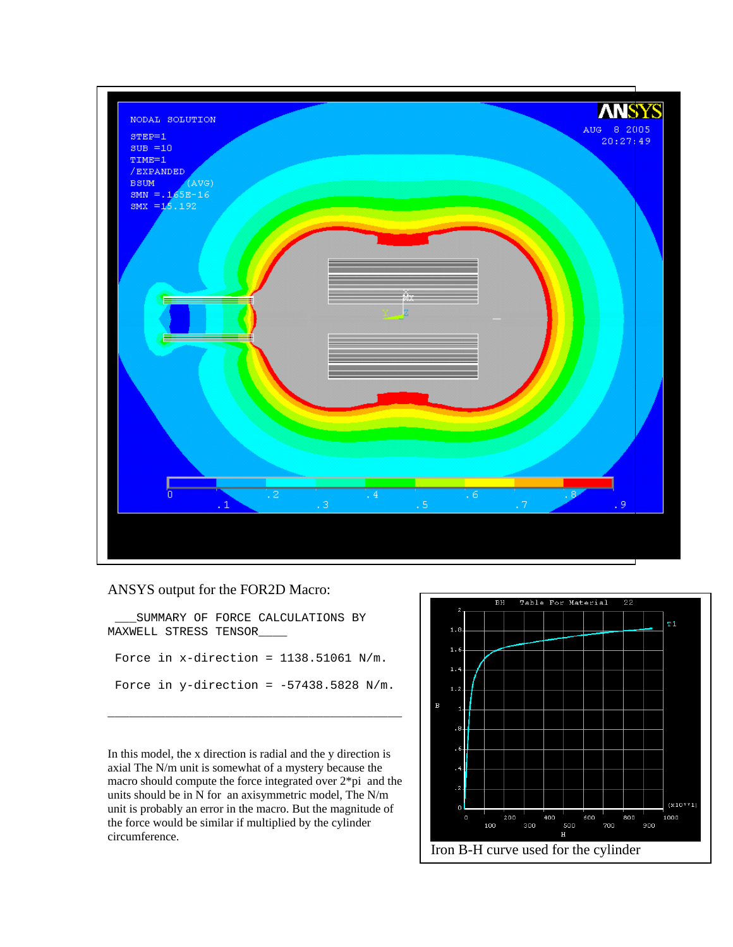![](_page_1_Figure_0.jpeg)

ANSYS output for the FOR2D Macro:

 \_\_\_SUMMARY OF FORCE CALCULATIONS BY MAXWELL STRESS TENSOR Force in  $x$ -direction = 1138.51061 N/m. Force in  $y$ -direction = -57438.5828 N/m.

\_\_\_\_\_\_\_\_\_\_\_\_\_\_\_\_\_\_\_\_\_\_\_\_\_\_\_\_\_\_\_\_\_\_\_\_\_\_\_\_\_

In this model, the x direction is radial and the y direction is axial The N/m unit is somewhat of a mystery because the macro should compute the force integrated over 2\*pi and the units should be in N for an axisymmetric model, The N/m unit is probably an error in the macro. But the magnitude of the force would be similar if multiplied by the cylinder circumference.

![](_page_1_Figure_4.jpeg)